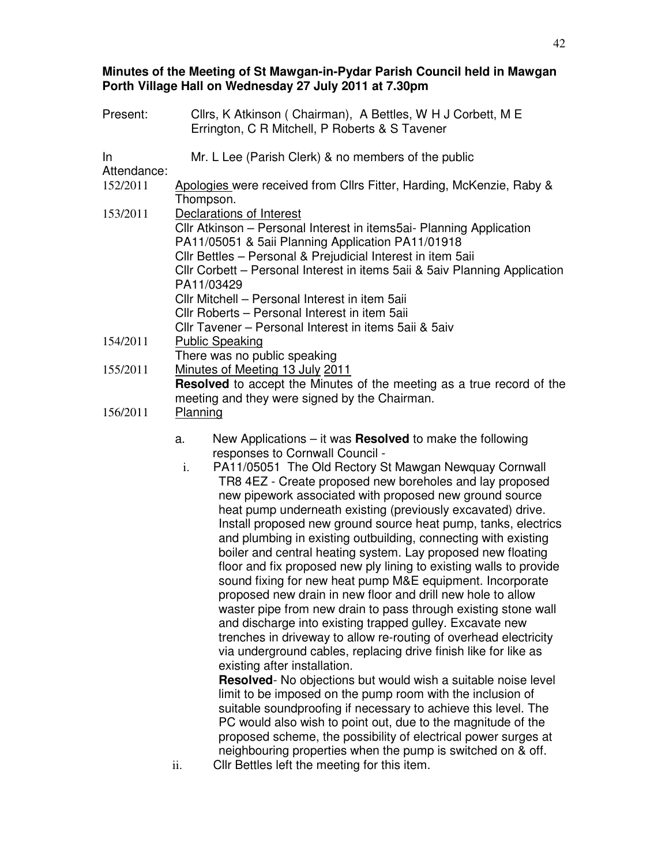## **Minutes of the Meeting of St Mawgan-in-Pydar Parish Council held in Mawgan Porth Village Hall on Wednesday 27 July 2011 at 7.30pm**

| Present:          | Cllrs, K Atkinson (Chairman), A Bettles, W H J Corbett, M E<br>Errington, C R Mitchell, P Roberts & S Tavener                                                                                                                                                                                                                                                                                                                                                                                                                                                                                                                                                                                                                                                                                                                                                                                                                                                                                                                                                                                                                                                                                                                                                                                                                                                                                                                                                                                                                               |
|-------------------|---------------------------------------------------------------------------------------------------------------------------------------------------------------------------------------------------------------------------------------------------------------------------------------------------------------------------------------------------------------------------------------------------------------------------------------------------------------------------------------------------------------------------------------------------------------------------------------------------------------------------------------------------------------------------------------------------------------------------------------------------------------------------------------------------------------------------------------------------------------------------------------------------------------------------------------------------------------------------------------------------------------------------------------------------------------------------------------------------------------------------------------------------------------------------------------------------------------------------------------------------------------------------------------------------------------------------------------------------------------------------------------------------------------------------------------------------------------------------------------------------------------------------------------------|
| In<br>Attendance: | Mr. L Lee (Parish Clerk) & no members of the public                                                                                                                                                                                                                                                                                                                                                                                                                                                                                                                                                                                                                                                                                                                                                                                                                                                                                                                                                                                                                                                                                                                                                                                                                                                                                                                                                                                                                                                                                         |
| 152/2011          | Apologies were received from Cllrs Fitter, Harding, McKenzie, Raby &<br>Thompson.                                                                                                                                                                                                                                                                                                                                                                                                                                                                                                                                                                                                                                                                                                                                                                                                                                                                                                                                                                                                                                                                                                                                                                                                                                                                                                                                                                                                                                                           |
| 153/2011          | Declarations of Interest<br>CIIr Atkinson – Personal Interest in items5ai- Planning Application<br>PA11/05051 & 5aii Planning Application PA11/01918<br>CIIr Bettles - Personal & Prejudicial Interest in item 5aii<br>Cllr Corbett - Personal Interest in items 5aii & 5aiv Planning Application<br>PA11/03429<br>CIIr Mitchell - Personal Interest in item 5aii<br>Cllr Roberts - Personal Interest in item 5aii<br>Cllr Tavener - Personal Interest in items 5aii & 5aiv                                                                                                                                                                                                                                                                                                                                                                                                                                                                                                                                                                                                                                                                                                                                                                                                                                                                                                                                                                                                                                                                 |
| 154/2011          | <b>Public Speaking</b><br>There was no public speaking                                                                                                                                                                                                                                                                                                                                                                                                                                                                                                                                                                                                                                                                                                                                                                                                                                                                                                                                                                                                                                                                                                                                                                                                                                                                                                                                                                                                                                                                                      |
| 155/2011          | Minutes of Meeting 13 July 2011<br>Resolved to accept the Minutes of the meeting as a true record of the<br>meeting and they were signed by the Chairman.                                                                                                                                                                                                                                                                                                                                                                                                                                                                                                                                                                                                                                                                                                                                                                                                                                                                                                                                                                                                                                                                                                                                                                                                                                                                                                                                                                                   |
| 156/2011          | Planning                                                                                                                                                                                                                                                                                                                                                                                                                                                                                                                                                                                                                                                                                                                                                                                                                                                                                                                                                                                                                                                                                                                                                                                                                                                                                                                                                                                                                                                                                                                                    |
|                   | New Applications $-$ it was <b>Resolved</b> to make the following<br>a.<br>responses to Cornwall Council -<br>PA11/05051 The Old Rectory St Mawgan Newquay Cornwall<br>i.<br>TR8 4EZ - Create proposed new boreholes and lay proposed<br>new pipework associated with proposed new ground source<br>heat pump underneath existing (previously excavated) drive.<br>Install proposed new ground source heat pump, tanks, electrics<br>and plumbing in existing outbuilding, connecting with existing<br>boiler and central heating system. Lay proposed new floating<br>floor and fix proposed new ply lining to existing walls to provide<br>sound fixing for new heat pump M&E equipment. Incorporate<br>proposed new drain in new floor and drill new hole to allow<br>waster pipe from new drain to pass through existing stone wall<br>and discharge into existing trapped gulley. Excavate new<br>trenches in driveway to allow re-routing of overhead electricity<br>via underground cables, replacing drive finish like for like as<br>existing after installation.<br><b>Resolved</b> - No objections but would wish a suitable noise level<br>limit to be imposed on the pump room with the inclusion of<br>suitable soundproofing if necessary to achieve this level. The<br>PC would also wish to point out, due to the magnitude of the<br>proposed scheme, the possibility of electrical power surges at<br>neighbouring properties when the pump is switched on & off.<br>Cllr Bettles left the meeting for this item.<br>ii. |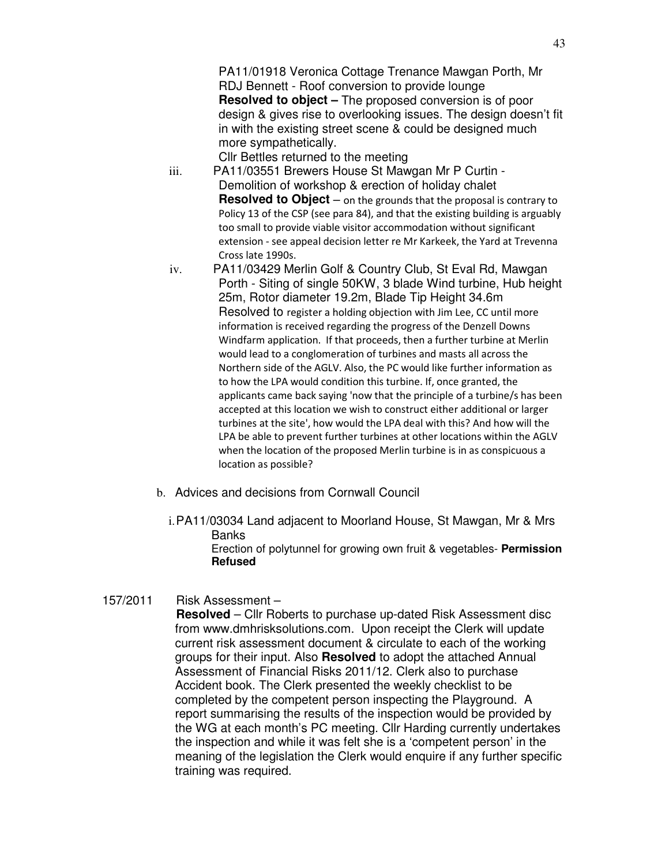PA11/01918 Veronica Cottage Trenance Mawgan Porth, Mr RDJ Bennett - Roof conversion to provide lounge **Resolved to object –** The proposed conversion is of poor design & gives rise to overlooking issues. The design doesn't fit in with the existing street scene & could be designed much more sympathetically.

Cllr Bettles returned to the meeting

- iii. PA11/03551 Brewers House St Mawgan Mr P Curtin Demolition of workshop & erection of holiday chalet **Resolved to Object** – on the grounds that the proposal is contrary to Policy 13 of the CSP (see para 84), and that the existing building is arguably too small to provide viable visitor accommodation without significant extension - see appeal decision letter re Mr Karkeek, the Yard at Trevenna Cross late 1990s.
- iv. PA11/03429 Merlin Golf & Country Club, St Eval Rd, Mawgan Porth - Siting of single 50KW, 3 blade Wind turbine, Hub height 25m, Rotor diameter 19.2m, Blade Tip Height 34.6m Resolved to register a holding objection with Jim Lee, CC until more information is received regarding the progress of the Denzell Downs Windfarm application. If that proceeds, then a further turbine at Merlin would lead to a conglomeration of turbines and masts all across the Northern side of the AGLV. Also, the PC would like further information as to how the LPA would condition this turbine. If, once granted, the applicants came back saying 'now that the principle of a turbine/s has been accepted at this location we wish to construct either additional or larger turbines at the site', how would the LPA deal with this? And how will the LPA be able to prevent further turbines at other locations within the AGLV when the location of the proposed Merlin turbine is in as conspicuous a location as possible?
- b. Advices and decisions from Cornwall Council
	- i. PA11/03034 Land adjacent to Moorland House, St Mawgan, Mr & Mrs **Banks**

Erection of polytunnel for growing own fruit & vegetables- **Permission Refused** 

## 157/2011 Risk Assessment –

**Resolved** – Cllr Roberts to purchase up-dated Risk Assessment disc from www.dmhrisksolutions.com. Upon receipt the Clerk will update current risk assessment document & circulate to each of the working groups for their input. Also **Resolved** to adopt the attached Annual Assessment of Financial Risks 2011/12. Clerk also to purchase Accident book. The Clerk presented the weekly checklist to be completed by the competent person inspecting the Playground. A report summarising the results of the inspection would be provided by the WG at each month's PC meeting. Cllr Harding currently undertakes the inspection and while it was felt she is a 'competent person' in the meaning of the legislation the Clerk would enquire if any further specific training was required.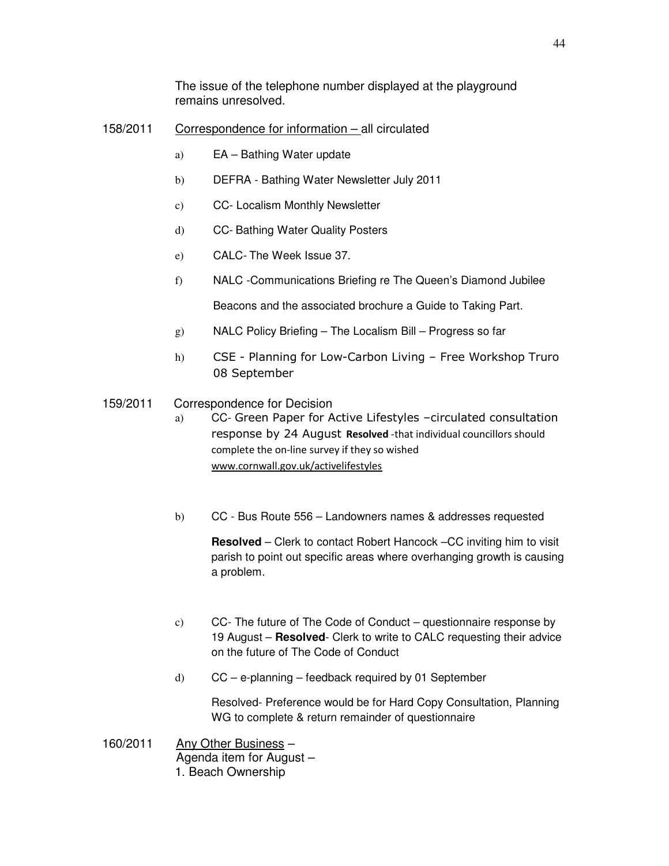The issue of the telephone number displayed at the playground remains unresolved.

## 158/2011 Correspondence for information – all circulated

- a) EA Bathing Water update
- b) DEFRA Bathing Water Newsletter July 2011
- c) CC- Localism Monthly Newsletter
- d) CC- Bathing Water Quality Posters
- e) CALC- The Week Issue 37.
- f) NALC -Communications Briefing re The Queen's Diamond Jubilee

Beacons and the associated brochure a Guide to Taking Part.

- g) NALC Policy Briefing The Localism Bill Progress so far
- h) CSE Planning for Low-Carbon Living Free Workshop Truro 08 September
- 159/2011 Correspondence for Decision
	- a) CC- Green Paper for Active Lifestyles –circulated consultation response by 24 August Resolved -that individual councillors should complete the on-line survey if they so wished www.cornwall.gov.uk/activelifestyles
	- b) CC Bus Route 556 Landowners names & addresses requested

**Resolved** – Clerk to contact Robert Hancock –CC inviting him to visit parish to point out specific areas where overhanging growth is causing a problem.

- c) CC- The future of The Code of Conduct questionnaire response by 19 August – **Resolved**- Clerk to write to CALC requesting their advice on the future of The Code of Conduct
- d) CC e-planning feedback required by 01 September

Resolved- Preference would be for Hard Copy Consultation, Planning WG to complete & return remainder of questionnaire

160/2011 Any Other Business – Agenda item for August – 1. Beach Ownership